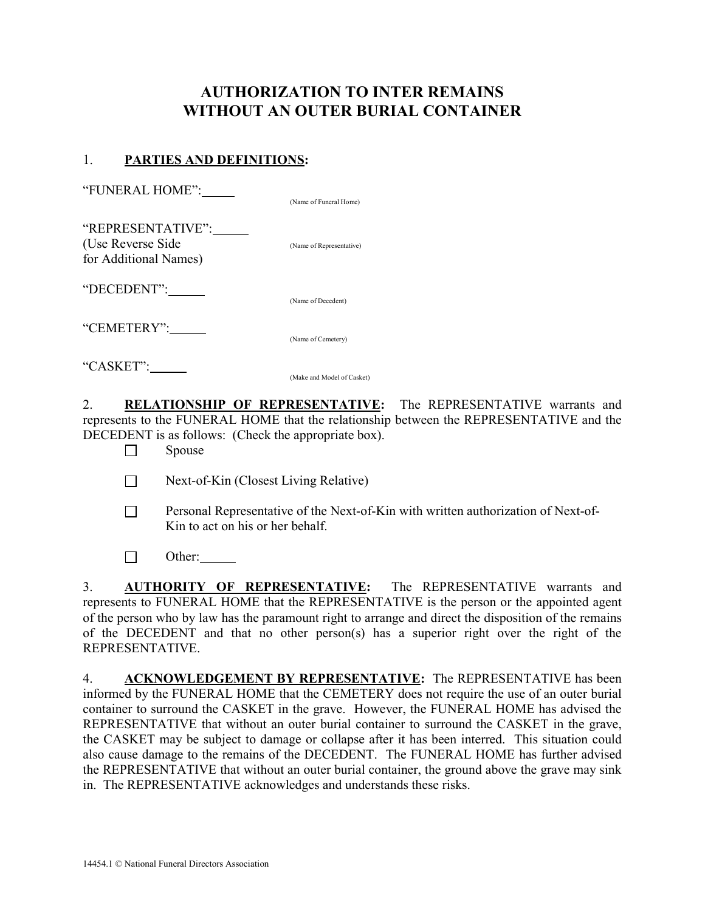## AUTHORIZATION TO INTER REMAINS WITHOUT AN OUTER BURIAL CONTAINER

## 1. PARTIES AND DEFINITIONS:

(Name of Funeral Home)

| "REPRESENTATIVE":<br>(Use Reverse Side)<br>for Additional Names) | (Name of Representative) |
|------------------------------------------------------------------|--------------------------|
| "DECEDENT":                                                      | (Name of Decedent)       |
| "CEMETERY":                                                      | (Name of Cemetery)       |
| "CASKET":                                                        |                          |

(Make and Model of Casket)

2. RELATIONSHIP OF REPRESENTATIVE: The REPRESENTATIVE warrants and represents to the FUNERAL HOME that the relationship between the REPRESENTATIVE and the DECEDENT is as follows: (Check the appropriate box).

- $\Box$  Spouse
- $\Box$  Next-of-Kin (Closest Living Relative)
- Personal Representative of the Next-of-Kin with written authorization of Next-of-Kin to act on his or her behalf.
- $\Box$  Other:

3. **AUTHORITY OF REPRESENTATIVE:** The REPRESENTATIVE warrants and represents to FUNERAL HOME that the REPRESENTATIVE is the person or the appointed agent of the person who by law has the paramount right to arrange and direct the disposition of the remains of the DECEDENT and that no other person(s) has a superior right over the right of the REPRESENTATIVE.

4. ACKNOWLEDGEMENT BY REPRESENTATIVE: The REPRESENTATIVE has been informed by the FUNERAL HOME that the CEMETERY does not require the use of an outer burial container to surround the CASKET in the grave. However, the FUNERAL HOME has advised the REPRESENTATIVE that without an outer burial container to surround the CASKET in the grave, the CASKET may be subject to damage or collapse after it has been interred. This situation could also cause damage to the remains of the DECEDENT. The FUNERAL HOME has further advised the REPRESENTATIVE that without an outer burial container, the ground above the grave may sink in. The REPRESENTATIVE acknowledges and understands these risks.